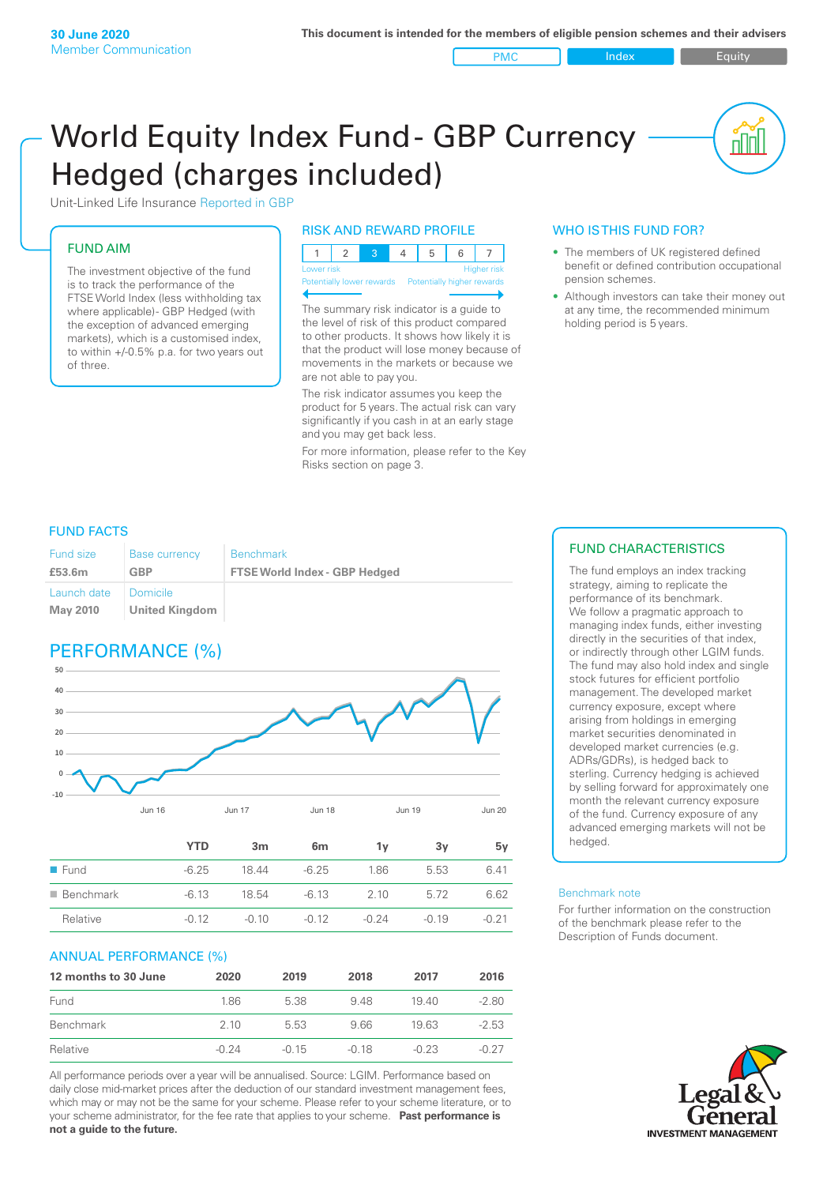#### PMC Index PMC Equity

# World Equity Index Fund- GBP Currency Hedged (charges included)



## FUND AIM

The investment objective of the fund is to track the performance of the FTSE World Index (less withholding tax where applicable) - GBP Hedged (with the exception of advanced emerging markets), which is a customised index, to within +/‑0.5% p.a. for two years out of three.

## RISK AND REWARD PROFILE

| Lower risk |  |  | <b>Higher</b> risk |
|------------|--|--|--------------------|

Potentially lower rewards Pote

The summary risk indicator is a guide to the level of risk of this product compared to other products. It shows how likely it is that the product will lose money because of movements in the markets or because we are not able to pay you.

The risk indicator assumes you keep the product for 5 years. The actual risk can vary significantly if you cash in at an early stage and you may get back less.

For more information, please refer to the Key Risks section on page 3.

## WHO IS THIS FUND FOR?

- The members of UK registered defined benefit or defined contribution occupational pension schemes.
- Although investors can take their money out at any time, the recommended minimum holding period is 5 years.

## FUND FACTS

| Fund size                      | <b>Base currency</b>       | <b>Benchmark</b>                     |
|--------------------------------|----------------------------|--------------------------------------|
| £53.6m                         | <b>GBP</b>                 | <b>FTSE World Index - GBP Hedged</b> |
| Launch date<br><b>May 2010</b> | Domicile<br>United Kingdom |                                      |

## PERFORMANCE (%)



|                          | <b>YTD</b> | 3m      | 6 <sub>m</sub> | 1v      | 3۷      | 5v      |
|--------------------------|------------|---------|----------------|---------|---------|---------|
| $\blacksquare$ Fund      | $-6.25$    | 1844    | $-6.25$        | 1.86    | 5.53    | 6.41    |
| $\blacksquare$ Benchmark | $-6.13$    | 18.54   | $-6.13$        | 2.10    | 5.72    | 6.62    |
| Relative                 | $-0.12$    | $-0.10$ | $-0.12$        | $-0.24$ | $-0.19$ | $-0.21$ |

## ANNUAL PERFORMANCE (%)

| 12 months to 30 June | 2020    | 2019    | 2018    | 2017    | 2016    |
|----------------------|---------|---------|---------|---------|---------|
| Fund                 | 1.86    | 5.38    | 948     | 1940    | $-2.80$ |
| Benchmark            | 2 10    | 5.53    | 966     | 1963    | $-2.53$ |
| Relative             | $-0.24$ | $-0.15$ | $-0.18$ | $-0.23$ | $-0.27$ |

All performance periods over a year will be annualised. Source: LGIM. Performance based on daily close mid-market prices after the deduction of our standard investment management fees, which may or may not be the same for your scheme. Please refer to your scheme literature, or to your scheme administrator, for the fee rate that applies to your scheme. **Past performance is not a guide to the future.**

## FUND CHARACTERISTICS

The fund employs an index tracking strategy, aiming to replicate the performance of its benchmark. We follow a pragmatic approach to managing index funds, either investing directly in the securities of that index, or indirectly through other LGIM funds. The fund may also hold index and single stock futures for efficient portfolio management. The developed market currency exposure, except where arising from holdings in emerging market securities denominated in developed market currencies (e.g. ADRs/GDRs), is hedged back to sterling. Currency hedging is achieved by selling forward for approximately one month the relevant currency exposure of the fund. Currency exposure of any advanced emerging markets will not be hedged.

#### Benchmark note

For further information on the construction of the benchmark please refer to the Description of Funds document.

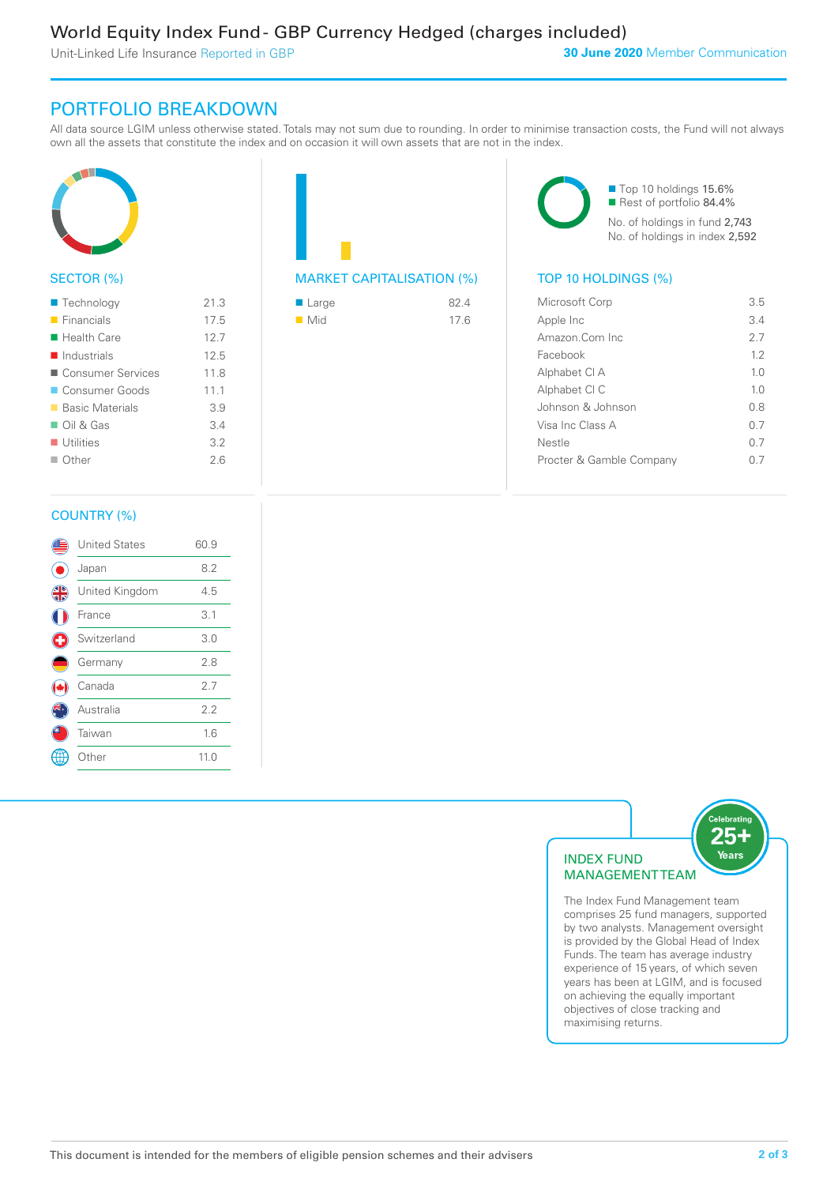Unit-Linked Life Insurance Reported in GBP

## PORTFOLIO BREAKDOWN

All data source LGIM unless otherwise stated. Totals may not sum due to rounding. In order to minimise transaction costs, the Fund will not always own all the assets that constitute the index and on occasion it will own assets that are not in the index.



## SECTOR (%)

| $\blacksquare$ Technology  | 21.3 |
|----------------------------|------|
| $\blacksquare$ Financials  | 17.5 |
| $\blacksquare$ Health Care | 12.7 |
| $\blacksquare$ Industrials | 12.5 |
| ■ Consumer Services        | 11.8 |
| Consumer Goods             | 111  |
| ■ Basic Materials          | 3.9  |
| $\Box$ Oil & Gas           | 34   |
| $\blacksquare$ Utilities   | 3.2  |
| $\Box$ Other               | 26   |
|                            |      |



| ■ Large            | 82.4 |
|--------------------|------|
| $\blacksquare$ Mid | 17.6 |

■ Top 10 holdings 15.6% Rest of portfolio 84.4% No. of holdings in fund 2,743 No. of holdings in index 2,592

| Microsoft Corp           | 3.5            |
|--------------------------|----------------|
| Apple Inc                | 34             |
| Amazon Com Inc           | 27             |
| Facebook                 | 12             |
| Alphabet CI A            | 1 <sub>0</sub> |
| Alphabet CI C            | 1 <sub>0</sub> |
| Johnson & Johnson        | 0 S            |
| Visa Inc Class A         | 0.7            |
| Nestle                   | () 7           |
| Procter & Gamble Company |                |
|                          |                |

## COUNTRY (%)

|   | <b>United States</b> | 60.9 |  |
|---|----------------------|------|--|
|   | Japan                | 8.2  |  |
| 4 | United Kingdom       | 4.5  |  |
|   | France               | 3.1  |  |
|   | Switzerland          | 3.0  |  |
|   | Germany              | 2.8  |  |
|   | Canada               | 2.7  |  |
|   | Australia            | 2.2  |  |
|   | Taiwan               | 1.6  |  |
|   | <b>Other</b>         | 11.0 |  |
|   |                      |      |  |



comprises 25 fund managers, supported by two analysts. Management oversight is provided by the Global Head of Index Funds. The team has average industry experience of 15 years, of which seven years has been at LGIM, and is focused on achieving the equally important objectives of close tracking and maximising returns.